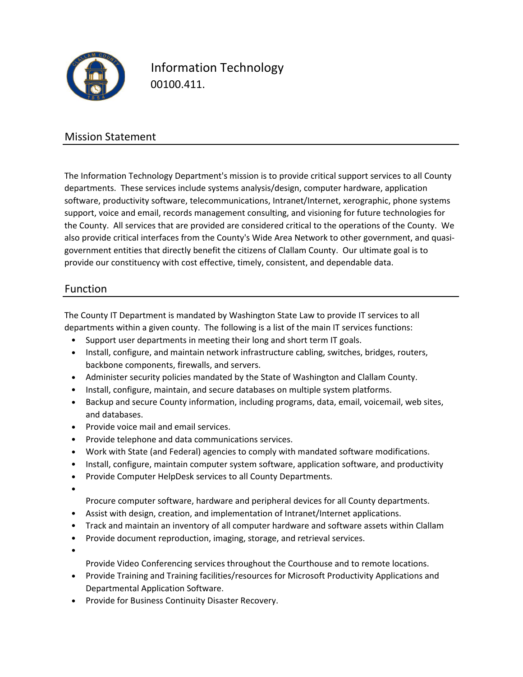

Information Technology 00100.411.

### Mission Statement

The Information Technology Department's mission is to provide critical support services to all County departments. These services include systems analysis/design, computer hardware, application software, productivity software, telecommunications, Intranet/Internet, xerographic, phone systems support, voice and email, records management consulting, and visioning for future technologies for the County. All services that are provided are considered critical to the operations of the County. We also provide critical interfaces from the County's Wide Area Network to other government, and quasigovernment entities that directly benefit the citizens of Clallam County. Our ultimate goal is to provide our constituency with cost effective, timely, consistent, and dependable data.

### Function

The County IT Department is mandated by Washington State Law to provide IT services to all departments within a given county. The following is a list of the main IT services functions:

- Support user departments in meeting their long and short term IT goals.
- Install, configure, and maintain network infrastructure cabling, switches, bridges, routers, backbone components, firewalls, and servers.
- Administer security policies mandated by the State of Washington and Clallam County.
- Install, configure, maintain, and secure databases on multiple system platforms.
- Backup and secure County information, including programs, data, email, voicemail, web sites, and databases.
- Provide voice mail and email services.
- Provide telephone and data communications services.
- Work with State (and Federal) agencies to comply with mandated software modifications.
- Install, configure, maintain computer system software, application software, and productivity
- Provide Computer HelpDesk services to all County Departments.
- •

Procure computer software, hardware and peripheral devices for all County departments.

- Assist with design, creation, and implementation of Intranet/Internet applications.
- Track and maintain an inventory of all computer hardware and software assets within Clallam
- Provide document reproduction, imaging, storage, and retrieval services.
- •

Provide Video Conferencing services throughout the Courthouse and to remote locations.

- Provide Training and Training facilities/resources for Microsoft Productivity Applications and Departmental Application Software.
- Provide for Business Continuity Disaster Recovery.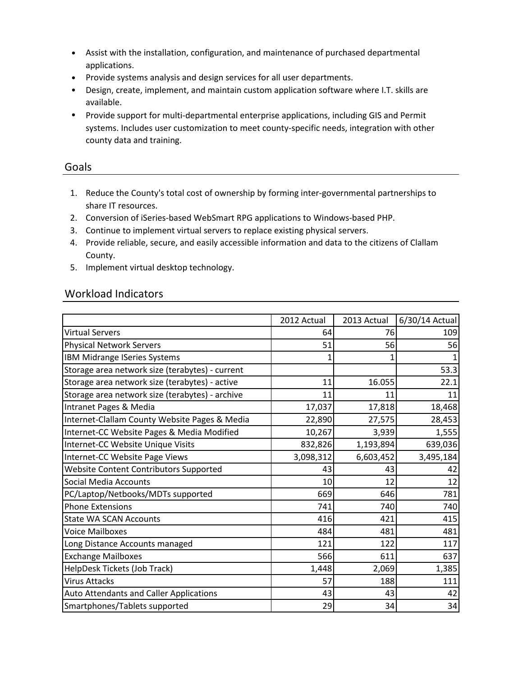- Assist with the installation, configuration, and maintenance of purchased departmental applications.
- Provide systems analysis and design services for all user departments.
- Design, create, implement, and maintain custom application software where I.T. skills are available.
- Provide support for multi-departmental enterprise applications, including GIS and Permit systems. Includes user customization to meet county-specific needs, integration with other county data and training.

#### Goals

- 1. Reduce the County's total cost of ownership by forming inter-governmental partnerships to share IT resources.
- 2. Conversion of iSeries-based WebSmart RPG applications to Windows-based PHP.
- 3. Continue to implement virtual servers to replace existing physical servers.
- 4. Provide reliable, secure, and easily accessible information and data to the citizens of Clallam County.
- 5. Implement virtual desktop technology.

### Workload Indicators

|                                                 | 2012 Actual | 2013 Actual | 6/30/14 Actual |
|-------------------------------------------------|-------------|-------------|----------------|
| <b>Virtual Servers</b>                          | 64          | 76          | 109            |
| <b>Physical Network Servers</b>                 | 51          | 56          | 56             |
| <b>IBM Midrange ISeries Systems</b>             | 1           |             |                |
| Storage area network size (terabytes) - current |             |             | 53.3           |
| Storage area network size (terabytes) - active  | 11          | 16.055      | 22.1           |
| Storage area network size (terabytes) - archive | 11          | 11          | 11             |
| Intranet Pages & Media                          | 17,037      | 17,818      | 18,468         |
| Internet-Clallam County Website Pages & Media   | 22,890      | 27,575      | 28,453         |
| Internet-CC Website Pages & Media Modified      | 10,267      | 3,939       | 1,555          |
| Internet-CC Website Unique Visits               | 832,826     | 1,193,894   | 639,036        |
| Internet-CC Website Page Views                  | 3,098,312   | 6,603,452   | 3,495,184      |
| <b>Website Content Contributors Supported</b>   | 43          | 43          | 42             |
| <b>Social Media Accounts</b>                    | 10          | 12          | 12             |
| PC/Laptop/Netbooks/MDTs supported               | 669         | 646         | 781            |
| <b>Phone Extensions</b>                         | 741         | 740         | 740            |
| <b>State WA SCAN Accounts</b>                   | 416         | 421         | 415            |
| <b>Voice Mailboxes</b>                          | 484         | 481         | 481            |
| Long Distance Accounts managed                  | 121         | 122         | 117            |
| <b>Exchange Mailboxes</b>                       | 566         | 611         | 637            |
| HelpDesk Tickets (Job Track)                    | 1,448       | 2,069       | 1,385          |
| <b>Virus Attacks</b>                            | 57          | 188         | 111            |
| <b>Auto Attendants and Caller Applications</b>  | 43          | 43          | 42             |
| Smartphones/Tablets supported                   | 29          | 34          | 34             |